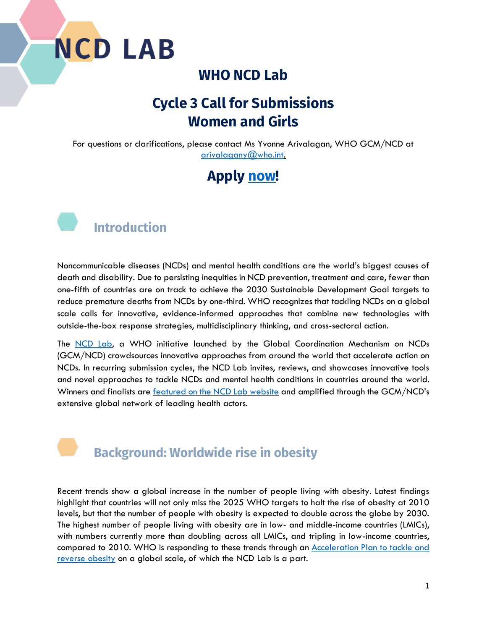#### **WHO NCD Lab**

### **Cycle 3 Call for Submissions Women and Girls**

For questions or clarifications, please contact Ms Yvonne Arivalagan, WHO GCM/NCD at [arivalagany@who.int.](mailto:arivalagany@who.int)

### **Apply [now!](https://www.knowledge-action-portal.com/en/ncd_lab/submit_proposal)**



Noncommunicable diseases (NCDs) and mental health conditions are the world's biggest causes of death and disability. Due to persisting inequities in NCD prevention, treatment and care, fewer than one-fifth of countries are on track to achieve the 2030 Sustainable Development Goal targets to reduce premature deaths from NCDs by one-third. WHO recognizes that tackling NCDs on a global scale calls for innovative, evidence-informed approaches that combine new technologies with outside-the-box response strategies, multidisciplinary thinking, and cross-sectoral action.

The [NCD Lab,](https://www.knowledge-action-portal.com/en/ncd_lab/featured_projects) a WHO initiative launched by the Global Coordination Mechanism on NCDs (GCM/NCD) crowdsources innovative approaches from around the world that accelerate action on NCDs. In recurring submission cycles, the NCD Lab invites, reviews, and showcases innovative tools and novel approaches to tackle NCDs and mental health conditions in countries around the world. Winners and finalists are [featured on the NCD Lab website](https://www.knowledge-action-portal.com/en/ncd_lab/featured_projects) and amplified through the GCM/NCD's extensive global network of leading health actors.

#### **Background: Worldwide rise in obesity**

Recent trends show a global increase in the number of people living with obesity. Latest findings highlight that countries will not only miss the 2025 WHO targets to halt the rise of obesity at 2010 levels, but that the number of people with obesity is expected to double across the globe by 2030. The highest number of people living with obesity are in low- and middle-income countries (LMICs), with numbers currently more than doubling across all LMICs, and tripling in low-income countries, compared to 2010. WHO is responding to these trends through an [Acceleration Plan to tackle and](https://www.who.int/news/item/04-03-2022-world-obesity-day-2022-accelerating-action-to-stop-obesity#:~:text=Following%20a%20request%20from%20Member%20States%2C%20the%20WHO,in%20May%202022.%20Subscribe%20to%20our%20newsletters%20%E2%86%92)  [reverse obesity](https://www.who.int/news/item/04-03-2022-world-obesity-day-2022-accelerating-action-to-stop-obesity#:~:text=Following%20a%20request%20from%20Member%20States%2C%20the%20WHO,in%20May%202022.%20Subscribe%20to%20our%20newsletters%20%E2%86%92) on a global scale, of which the NCD Lab is a part.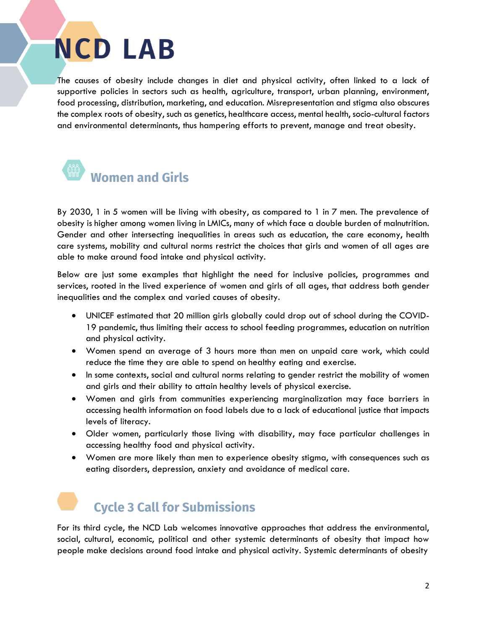The causes of obesity include changes in diet and physical activity, often linked to a lack of supportive policies in sectors such as health, agriculture, transport, urban planning, environment, food processing, distribution, marketing, and education. Misrepresentation and stigma also obscures the complex roots of obesity, such as genetics, healthcare access, mental health, socio-cultural factors and environmental determinants, thus hampering efforts to prevent, manage and treat obesity.



By 2030, 1 in 5 women will be living with obesity, as compared to 1 in 7 men. The prevalence of obesity is higher among women living in LMICs, many of which face a double burden of malnutrition. Gender and other intersecting inequalities in areas such as education, the care economy, health care systems, mobility and cultural norms restrict the choices that girls and women of all ages are able to make around food intake and physical activity.

Below are just some examples that highlight the need for inclusive policies, programmes and services, rooted in the lived experience of women and girls of all ages, that address both gender inequalities and the complex and varied causes of obesity.

- UNICEF estimated that 20 million girls globally could drop out of school during the COVID-19 pandemic, thus limiting their access to school feeding programmes, education on nutrition and physical activity.
- Women spend an average of 3 hours more than men on unpaid care work, which could reduce the time they are able to spend on healthy eating and exercise.
- In some contexts, social and cultural norms relating to gender restrict the mobility of women and girls and their ability to attain healthy levels of physical exercise.
- Women and girls from communities experiencing marginalization may face barriers in accessing health information on food labels due to a lack of educational justice that impacts levels of literacy.
- Older women, particularly those living with disability, may face particular challenges in accessing healthy food and physical activity.
- Women are more likely than men to experience obesity stigma, with consequences such as eating disorders, depression, anxiety and avoidance of medical care.

### **Cycle 3 Call for Submissions**

For its third cycle, the NCD Lab welcomes innovative approaches that address the environmental, social, cultural, economic, political and other systemic determinants of obesity that impact how people make decisions around food intake and physical activity. Systemic determinants of obesity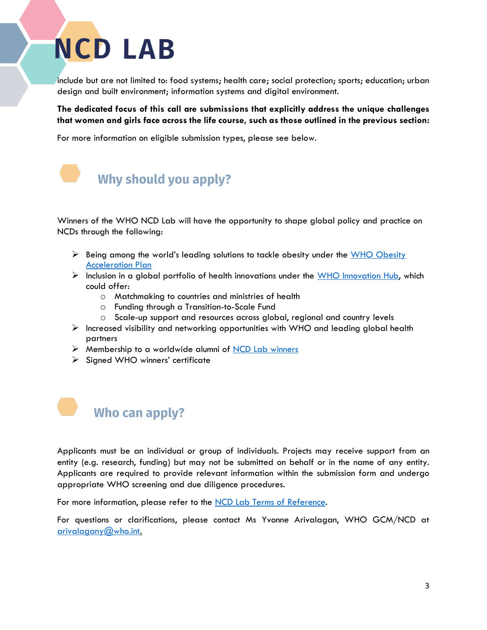include but are not limited to: food systems; health care; social protection; sports; education; urban design and built environment; information systems and digital environment.

**The dedicated focus of this call are submissions that explicitly address the unique challenges that women and girls face across the life course, such as those outlined in the previous section:**

For more information on eligible submission types, please see below.



Winners of the WHO NCD Lab will have the opportunity to shape global policy and practice on NCDs through the following:

- $\triangleright$  Being among the world's leading solutions to tackle obesity under the WHO Obesity **[Acceleration Plan](https://www.who.int/news/item/04-03-2022-world-obesity-day-2022-accelerating-action-to-stop-obesity#:~:text=Following%20a%20request%20from%20Member%20States%2C%20the%20WHO,in%20May%202022.%20Subscribe%20to%20our%20newsletters%20%E2%86%92)**
- ➢ Inclusion in a global portfolio of health innovations under the [WHO Innovation Hub,](https://www.who.int/teams/digital-health-and-innovation/who-innovation-hub#:~:text=WHO%20Innovation%20hub%20The%20Innovation%20Hub%20focuses%20on,or%20behavioral%2C%20digital%20or%20technology-based%2C%20or%20a%20combination.) which could offer:
	- o Matchmaking to countries and ministries of health
	- o Funding through a Transition-to-Scale Fund
	- o Scale-up support and resources across global, regional and country levels
- $\triangleright$  Increased visibility and networking opportunities with WHO and leading global health partners
- ➢ Membership to a worldwide alumni of [NCD Lab winners](https://www.knowledge-action-portal.com/en/ncd_lab/featured_projects)
- ➢ Signed WHO winners' certificate



Applicants must be an individual or group of individuals. Projects may receive support from an entity (e.g. research, funding) but may not be submitted on behalf or in the name of any entity. Applicants are required to provide relevant information within the submission form and undergo appropriate WHO screening and due diligence procedures.

For more information, please refer to the [NCD Lab Terms of Reference.](https://www.knowledge-action-portal.com/sites/all/themes/pinitall/img/ncd_lab_pdfs/ncd-lab---terms-of-reference.pdf)

For questions or clarifications, please contact Ms Yvonne Arivalagan, WHO GCM/NCD at arivalagany $@$ who.int.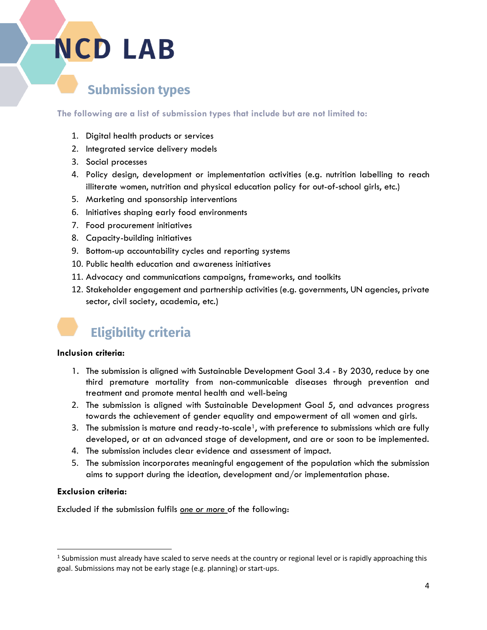#### **Submission types**

**The following are a list of submission types that include but are not limited to:**

- 1. Digital health products or services
- 2. Integrated service delivery models
- 3. Social processes
- 4. Policy design, development or implementation activities (e.g. nutrition labelling to reach illiterate women, nutrition and physical education policy for out-of-school girls, etc.)
- 5. Marketing and sponsorship interventions
- 6. Initiatives shaping early food environments
- 7. Food procurement initiatives
- 8. Capacity-building initiatives
- 9. Bottom-up accountability cycles and reporting systems
- 10. Public health education and awareness initiatives
- 11. Advocacy and communications campaigns, frameworks, and toolkits
- 12. Stakeholder engagement and partnership activities (e.g. governments, UN agencies, private sector, civil society, academia, etc.)



#### **Inclusion criteria:**

- 1. The submission is aligned with Sustainable Development Goal 3.4 By 2030, reduce by one third premature mortality from non-communicable diseases through prevention and treatment and promote mental health and well-being
- 2. The submission is aligned with Sustainable Development Goal 5, and advances progress towards the achievement of gender equality and empowerment of all women and girls.
- 3. The submission is mature and ready-to-scale<sup>1</sup>, with preference to submissions which are fully developed, or at an advanced stage of development, and are or soon to be implemented.
- 4. The submission includes clear evidence and assessment of impact.
- 5. The submission incorporates meaningful engagement of the population which the submission aims to support during the ideation, development and/or implementation phase.

#### **Exclusion criteria:**

Excluded if the submission fulfils *one or more* of the following:

 $1$  Submission must already have scaled to serve needs at the country or regional level or is rapidly approaching this goal. Submissions may not be early stage (e.g. planning) or start-ups.